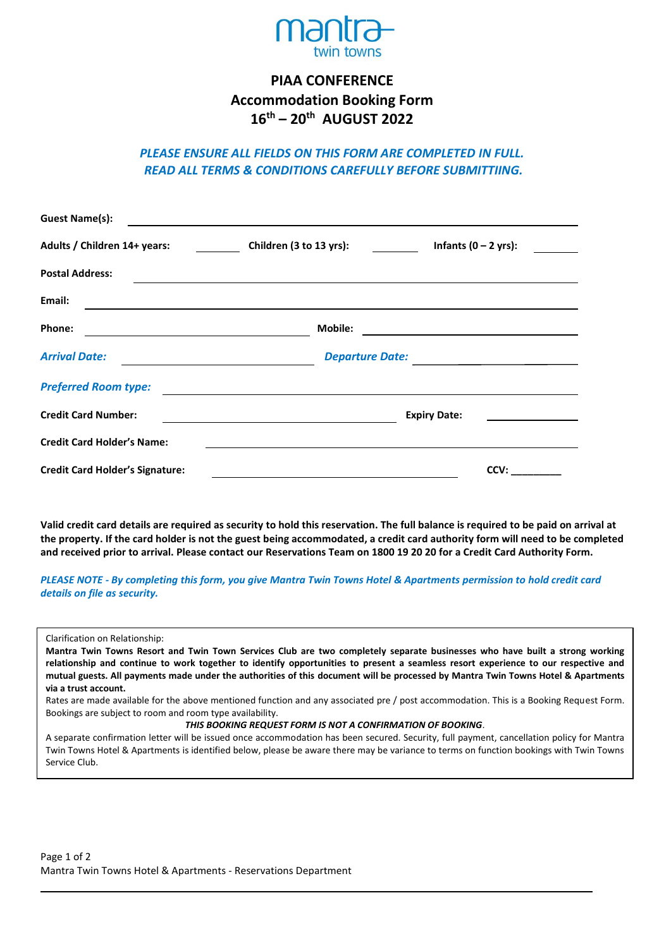

# **PIAA CONFERENCE Accommodation Booking Form 16 th – 20th AUGUST 2022**

## *PLEASE ENSURE ALL FIELDS ON THIS FORM ARE COMPLETED IN FULL. READ ALL TERMS & CONDITIONS CAREFULLY BEFORE SUBMITTIING.*

| <b>Guest Name(s):</b>                                                                                                                         |                                                                                                                                                                                             |  |
|-----------------------------------------------------------------------------------------------------------------------------------------------|---------------------------------------------------------------------------------------------------------------------------------------------------------------------------------------------|--|
| Adults / Children 14+ years:                                                                                                                  | Infants $(0 - 2 \text{ yrs})$ :<br>Children (3 to 13 yrs):                                                                                                                                  |  |
| <b>Postal Address:</b>                                                                                                                        |                                                                                                                                                                                             |  |
| Email:                                                                                                                                        | ,我们也不会有什么。""我们的人,我们也不会有什么?""我们的人,我们也不会有什么?""我们的人,我们的人,我们的人,我们的人,我们的人,我们的人,我们的人,我                                                                                                            |  |
| Phone:<br><u> 1980 - Johann Stoff, fransk politik (d. 1980)</u>                                                                               | Mobile:                                                                                                                                                                                     |  |
| <b>Arrival Date:</b><br><u> 1989 - Johann Barn, mars eta bainar eta industrial eta baina eta baina eta baina eta baina eta baina eta bain</u> | <b>Departure Date:</b>                                                                                                                                                                      |  |
| <b>Preferred Room type:</b>                                                                                                                   | <u> 1989 - Johann John Stone, markin film yn y brening yn y brening yn y brening yn y brening y brening yn y bre</u>                                                                        |  |
| <b>Credit Card Number:</b>                                                                                                                    | <b>Expiry Date:</b><br><u> 1990 - Johann Barn, mars ann an t-</u><br><u> 1989 - Johann Stoff, deutscher Stoffen und der Stoffen und der Stoffen und der Stoffen und der Stoffen und der</u> |  |
| <b>Credit Card Holder's Name:</b>                                                                                                             |                                                                                                                                                                                             |  |
| <b>Credit Card Holder's Signature:</b>                                                                                                        | CCV:                                                                                                                                                                                        |  |

**Valid credit card details are required as security to hold this reservation. The full balance is required to be paid on arrival at the property. If the card holder is not the guest being accommodated, a credit card authority form will need to be completed and received prior to arrival. Please contact our Reservations Team on 1800 19 20 20 for a Credit Card Authority Form.**

*PLEASE NOTE - By completing this form, you give Mantra Twin Towns Hotel & Apartments permission to hold credit card details on file as security.* 

Clarification on Relationship:

**Mantra Twin Towns Resort and Twin Town Services Club are two completely separate businesses who have built a strong working relationship and continue to work together to identify opportunities to present a seamless resort experience to our respective and mutual guests. All payments made under the authorities of this document will be processed by Mantra Twin Towns Hotel & Apartments via a trust account.**

Rates are made available for the above mentioned function and any associated pre / post accommodation. This is a Booking Request Form. Bookings are subject to room and room type availability.

### *THIS BOOKING REQUEST FORM IS NOT A CONFIRMATION OF BOOKING*.

**Hotel Rooms** A separate confirmation letter will be issued once accommodation has been secured. Security, full payment, cancellation policy for Mantra Twin Towns Hotel & Apartments is identified below, please be aware there may be variance to terms on function bookings with Twin Towns Service Club.